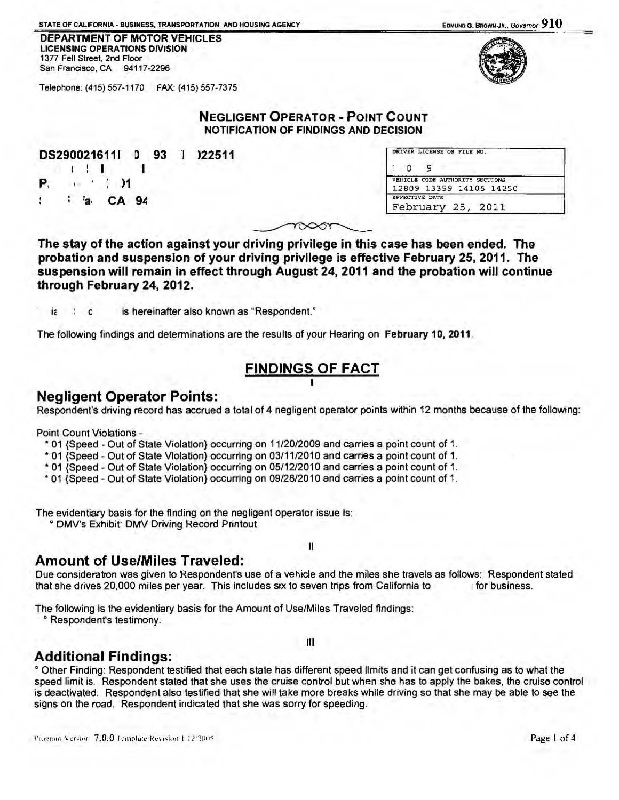STATE OF CALIFORNIA - BUSINESS, TRANSPORTATION AND HOUSING AGENCY  $910$ 

DEPARTMENT OF MOTOR VEHICLES LICENSING OPERATIONS DIVISION 1377 Fell Street, 2nd Floor San Francisco, CA 94117-2296



Telephone: (415) 557-1170 FAX: (415) 557-7375

#### NEGLIGENT OPERATOR- POINT COUNT NOTIFICATION OF FINDINGS AND DECISION

052900216111  $\mathbf{f}$  in  $\mathbf{f}$  is the  $\mathbf{f}$ P,  $\parallel$   $\parallel$  11 <sup>~</sup>93 'I )22511 t  $\frac{1}{2}$  CA 94

|                       | VEHICLE CODE AUTHORITY SECTIONS<br>12809 13359 14105 14250 |
|-----------------------|------------------------------------------------------------|
| <b>EFFECTIVE DATE</b> | February 25, 2011                                          |

|  | $\sim$ |
|--|--------|
|  |        |

The stay of the action against your driving privilege in this case has been ended. The probation and suspension of your driving privilege is effective February 25, 2011. The suspension will remain in effect through August 24, 2011 and the probation will continue through February 24, 2012.

ic d is hereinafter also known as "Respondent."

The following findings and determinations are the results of your Hearing on February 10, 2011 .

# FINDINGS OF FACT

### Negligent Operator Points:

Respondent's driving record has accrued a total of 4 negligent operator points within 12 months because of the following:

Point Count Violations -

- \* 01 {Speed Out of State Violation} occurring on 11/20/2009 and carries a point count of 1.
- \* 01 {Speed- Out of State VIolation} occurring on 03/11/2010 and carries a point count of 1.
- \* 01 {Speed- Out of State Violation} occurring on 05/12/2010 and carries a point count of 1.
- \* 01 {Speed Out of State Violation} occurring on 09/28/2010 and carries a point count of 1.

The evidentiary basis for the finding on the negligent operator issue is:

° DMV's Exhibit: DMV Driving Record Printout

## Amount of Use/Miles Traveled:

Due consideration was given to Respondent's use of a vehicle and the miles she travels as follows: Respondent stated that she drives 20,000 miles per year. This includes six to seven trips from California to 10 for business.

II

The following Is the evidentiary basis for the Amount of Use/Miles Traveled findings:

<sup>o</sup> Respondent's testimony.

### Ill

# Additional Findings:

<sup>o</sup> Other Finding: Respondent testified that each state has different speed limits and it can get confusing as to what the speed limit is. Respondent stated that she uses the cruise control but when she has to apply the bakes, the cruise control is deactivated. Respondent also testified that she will take more breaks while driving so that she may be able to see the signs on the road. Respondent indicated that she was sorry for speeding.